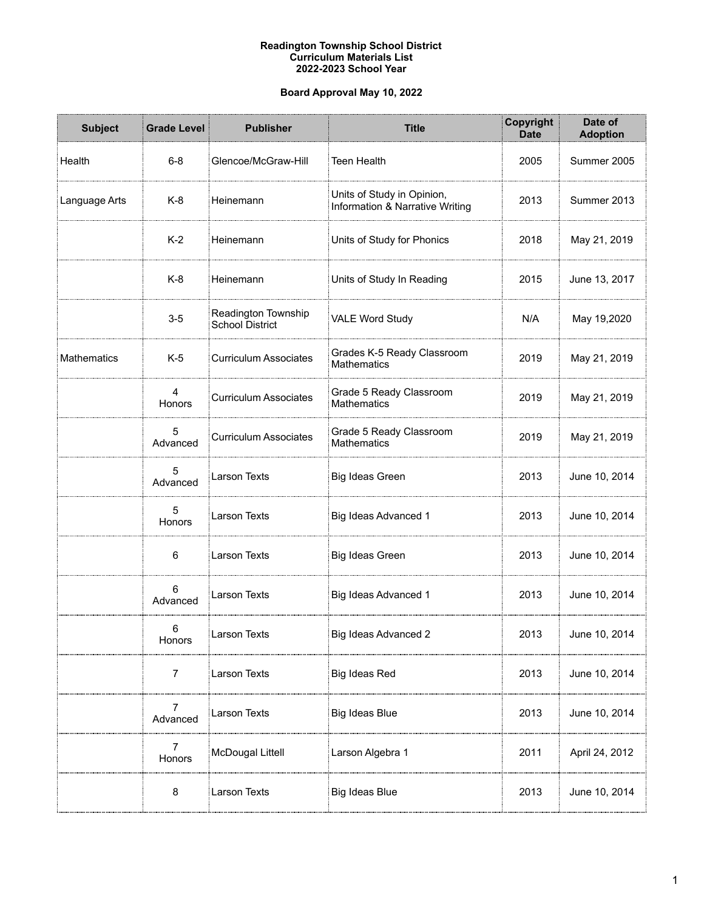### **Readington Township School District Curriculum Materials List 2022-2023 School Year**

## **Board Approval May 10, 2022**

| <b>Subject</b> | <b>Grade Level</b>       | <b>Publisher</b>                              | <b>Title</b>                                                  | Copyright<br><b>Date</b> | Date of<br><b>Adoption</b> |
|----------------|--------------------------|-----------------------------------------------|---------------------------------------------------------------|--------------------------|----------------------------|
| Health         | $6-8$                    | Glencoe/McGraw-Hill                           | <b>Teen Health</b>                                            | 2005                     | Summer 2005                |
| Language Arts  | $K-8$                    | Heinemann                                     | Units of Study in Opinion,<br>Information & Narrative Writing | 2013                     | Summer 2013                |
|                | $K-2$                    | Heinemann                                     | Units of Study for Phonics                                    | 2018                     | May 21, 2019               |
|                | $K-8$                    | Heinemann                                     | Units of Study In Reading                                     | 2015                     | June 13, 2017              |
|                | $3-5$                    | Readington Township<br><b>School District</b> | <b>VALE Word Study</b>                                        | N/A                      | May 19,2020                |
| Mathematics    | $K-5$                    | <b>Curriculum Associates</b>                  | Grades K-5 Ready Classroom<br><b>Mathematics</b>              | 2019                     | May 21, 2019               |
|                | 4<br>Honors              | <b>Curriculum Associates</b>                  | Grade 5 Ready Classroom<br><b>Mathematics</b>                 | 2019                     | May 21, 2019               |
|                | 5<br>Advanced            | <b>Curriculum Associates</b>                  | Grade 5 Ready Classroom<br><b>Mathematics</b>                 | 2019                     | May 21, 2019               |
|                | 5<br>Advanced            | <b>Larson Texts</b>                           | Big Ideas Green                                               | 2013                     | June 10, 2014              |
|                | 5<br>Honors              | <b>Larson Texts</b>                           | Big Ideas Advanced 1                                          | 2013                     | June 10, 2014              |
|                | 6                        | <b>Larson Texts</b>                           | Big Ideas Green                                               | 2013                     | June 10, 2014              |
|                | 6<br>Advanced            | Larson Texts                                  | Big Ideas Advanced 1                                          | 2013                     | June 10, 2014              |
|                | 6<br>Honors              | Larson Texts                                  | Big Ideas Advanced 2                                          | 2013                     | June 10, 2014              |
|                | 7                        | Larson Texts                                  | Big Ideas Red                                                 | 2013                     | June 10, 2014              |
|                | 7<br>Advanced            | Larson Texts                                  | Big Ideas Blue                                                | 2013                     | June 10, 2014              |
|                | $\overline{7}$<br>Honors | McDougal Littell                              | Larson Algebra 1                                              | 2011                     | April 24, 2012             |
|                | 8                        | Larson Texts                                  | Big Ideas Blue                                                | 2013                     | June 10, 2014              |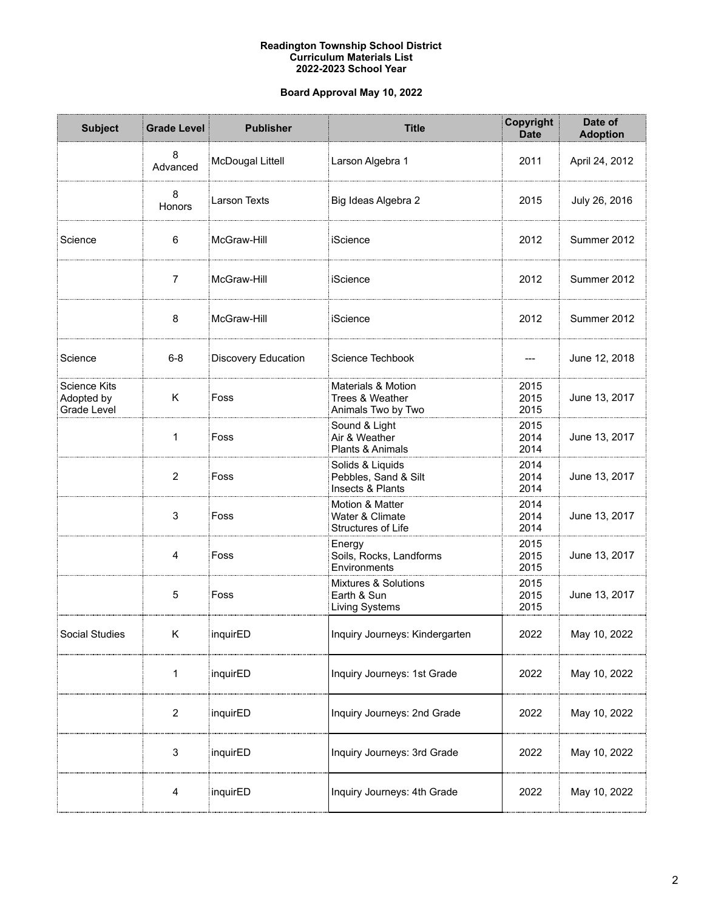### **Readington Township School District Curriculum Materials List 2022-2023 School Year**

# **Board Approval May 10, 2022**

| <b>Subject</b>                            | <b>Grade Level</b> | <b>Publisher</b>    | <b>Title</b>                                                           | Copyright<br><b>Date</b> | Date of<br><b>Adoption</b> |
|-------------------------------------------|--------------------|---------------------|------------------------------------------------------------------------|--------------------------|----------------------------|
|                                           | 8<br>Advanced      | McDougal Littell    | Larson Algebra 1                                                       | 2011                     | April 24, 2012             |
|                                           | 8<br>Honors        | Larson Texts        | Big Ideas Algebra 2                                                    | 2015                     | July 26, 2016              |
| Science                                   | 6                  | McGraw-Hill         | iScience                                                               | 2012                     | Summer 2012                |
|                                           | $\overline{7}$     | McGraw-Hill         | iScience                                                               | 2012                     | Summer 2012                |
|                                           | 8                  | McGraw-Hill         | iScience                                                               | 2012                     | Summer 2012                |
| Science                                   | $6 - 8$            | Discovery Education | Science Techbook                                                       |                          | June 12, 2018              |
| Science Kits<br>Adopted by<br>Grade Level | Κ                  | Foss                | <b>Materials &amp; Motion</b><br>Trees & Weather<br>Animals Two by Two | 2015<br>2015<br>2015     | June 13, 2017              |
|                                           | 1                  | Foss                | Sound & Light<br>Air & Weather<br>Plants & Animals                     | 2015<br>2014<br>2014     | June 13, 2017              |
|                                           | $\overline{2}$     | Foss                | Solids & Liquids<br>Pebbles, Sand & Silt<br>Insects & Plants           | 2014<br>2014<br>2014     | June 13, 2017              |
|                                           | 3                  | Foss                | Motion & Matter<br>Water & Climate<br>Structures of Life               | 2014<br>2014<br>2014     | June 13, 2017              |
|                                           | 4                  | Foss                | Energy<br>Soils, Rocks, Landforms<br>Environments                      | 2015<br>2015<br>2015     | June 13, 2017              |
|                                           | 5                  | Foss                | <b>Mixtures &amp; Solutions</b><br>Earth & Sun<br>Living Systems       | 2015<br>2015<br>2015     | June 13, 2017              |
| Social Studies                            | Κ                  | inquirED            | Inquiry Journeys: Kindergarten                                         | 2022                     | May 10, 2022               |
|                                           | 1                  | inquirED            | Inquiry Journeys: 1st Grade                                            | 2022                     | May 10, 2022               |
|                                           | 2                  | inquirED            | Inquiry Journeys: 2nd Grade                                            | 2022                     | May 10, 2022               |
|                                           | 3                  | inquirED            | Inquiry Journeys: 3rd Grade                                            | 2022                     | May 10, 2022               |
|                                           | 4                  | inquirED            | Inquiry Journeys: 4th Grade                                            | 2022                     | May 10, 2022               |